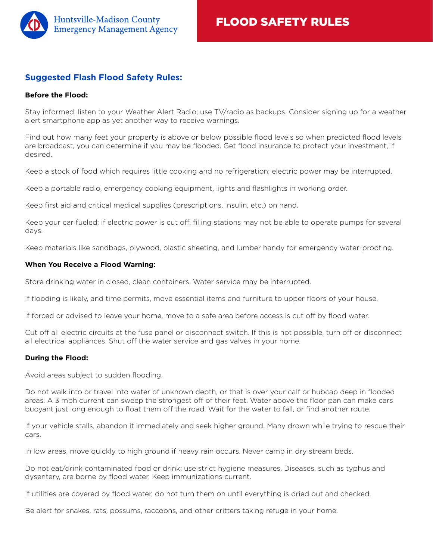

# **Suggested Flash Flood Safety Rules:**

### **Before the Flood:**

Stay informed: listen to your Weather Alert Radio; use TV/radio as backups. Consider signing up for a weather alert smartphone app as yet another way to receive warnings.

Find out how many feet your property is above or below possible flood levels so when predicted flood levels are broadcast, you can determine if you may be flooded. Get flood insurance to protect your investment, if desired.

Keep a stock of food which requires little cooking and no refrigeration; electric power may be interrupted.

Keep a portable radio, emergency cooking equipment, lights and flashlights in working order.

Keep first aid and critical medical supplies (prescriptions, insulin, etc.) on hand.

Keep your car fueled; if electric power is cut off, filling stations may not be able to operate pumps for several days.

Keep materials like sandbags, plywood, plastic sheeting, and lumber handy for emergency water-proofing.

### **When You Receive a Flood Warning:**

Store drinking water in closed, clean containers. Water service may be interrupted.

If flooding is likely, and time permits, move essential items and furniture to upper floors of your house.

If forced or advised to leave your home, move to a safe area before access is cut off by flood water.

Cut off all electric circuits at the fuse panel or disconnect switch. If this is not possible, turn off or disconnect all electrical appliances. Shut off the water service and gas valves in your home.

## **During the Flood:**

Avoid areas subject to sudden flooding.

Do not walk into or travel into water of unknown depth, or that is over your calf or hubcap deep in flooded areas. A 3 mph current can sweep the strongest off of their feet. Water above the floor pan can make cars buoyant just long enough to float them off the road. Wait for the water to fall, or find another route.

If your vehicle stalls, abandon it immediately and seek higher ground. Many drown while trying to rescue their cars.

In low areas, move quickly to high ground if heavy rain occurs. Never camp in dry stream beds.

Do not eat/drink contaminated food or drink; use strict hygiene measures. Diseases, such as typhus and dysentery, are borne by flood water. Keep immunizations current.

If utilities are covered by flood water, do not turn them on until everything is dried out and checked.

Be alert for snakes, rats, possums, raccoons, and other critters taking refuge in your home.